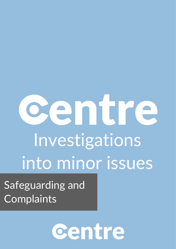## entre Investigations into minor issues

Safeguarding and **Complaints** 

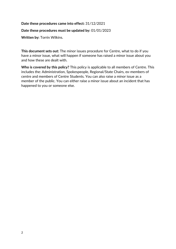## **Date these procedures came into effect:** 31/12/2021

## **Date these procedures must be updated by:** 01/01/2023

**Written by:** Torrin Wilkins.

**This document sets out:** The minor issues procedure for Centre, what to do if you have a minor issue, what will happen if someone has raised a minor issue about you and how these are dealt with.

**Who is covered by this policy?** This policy is applicable to all members of Centre. This includes the: Administration, Spokespeople, Regional/State Chairs, ex-members of centre and members of Centre Students. You can also raise a minor issue as a member of the public. You can either raise a minor issue about an incident that has happened to you or someone else.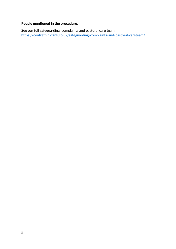## **People mentioned in the procedure.**

See our full safeguarding, complaints and pastoral care team: <https://centrethinktank.co.uk/safeguarding-complaints-and-pastoral-careteam/>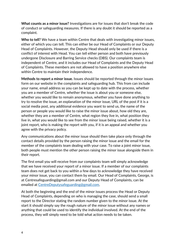**What counts as a minor issue?** Investigations are for issues that don't break the code of conduct or safeguarding measures. If there is any doubt it should be reported as a complaint.

**Who to tell?** We have a team within Centre that deals with investigating minor issues, either of which you can tell. This can either be our Head of Complaints or our Deputy Head of Complaints. However, the Deputy Head should only be used if there is a conflict of interest with Head. You can tell either person and both have previously undergone Disclosure and Barring Service checks (DBS). Our complaints team is independent of Centre, and it includes our Head of Complaints and the Deputy Head of Complaints. These members are not allowed to have a position anywhere else within Centre to maintain their independence.

**Methods to report a minor issue.** Issues should be reported through the minor issues form on our website in the complaints and safeguarding hub. This from can include your name, email address so you can be kept up to date with the process, whether you are a member of Centre, whether the issue is about you or someone else, whether you would like to remain anonymous, whether you have done anything to try to resolve the issue, an explanation of the minor issue, URL of the post if it is a social media post, any additional evidence you want to send us, the name of the person or people you would like to raise the minor issue about, how old they are, whether they are a member of Centre, what region they live in, what position they live in, what you would like to see from the minor issue being raised, whether it is a joint report, who is making the report with you, if it is an appeal and whether you agree with the privacy policy.

Any communications about the minor issue should then take place only through the contact details provided by the person raising the minor issue and the email for the member of the complaints team dealing with your case. To raise a joint minor issue, both people must mention the other person raising the minor issue alongside them in their report.

The first email you will receive from our complaints team will simply acknowledge that we have received your report of a minor issue. If a member of our complaints team does not get back to you within a few days to acknowledge they have received your minor issue, you can contact them by email. Our Head of Complaints, George, is at Centresafeguarding@gmail.com and our Deputy Head of Complaints, can be emailed at [CentreDeputysafeguarding@gmail.com.](mailto:CentreDeputysafeguarding@gmail.com)

At both the beginning and the end of the minor issues process the Head or Deputy Head of Complaints, depending on who is managing the case, should send a small report to the Director stating the random number given to the minor issue. At the start it should simply say the rough nature of the minor issue without any names or anything that could be used to identify the individual involved. At the end of the process, they will simply need to be told what action needs to be taken.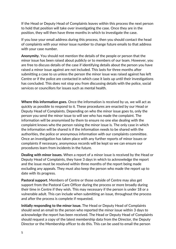If the Head or Deputy Head of Complaints leaves within this process the next person to hold that position will take over investigating the case. Once they are in the position, they will then have three months in which to investigate the case.

If you lose your email address during this process, then you should contact the head of complaints with your minor issue number to change future emails to that address with your case number.

**Anonymity.** You should not mention the details of the people or person that the minor issue has been raised about publicly or to members of our team. However, you are free to discuss details of the case if identifying details about the person you have raised a minor issue against are not included. This lasts for three months after submitting a case to us unless the person the minor issue was raised against has left Centre or if the police are contacted in which case it lasts up until their investigations has concluded. This does not stop you from discussing details with the police, social services or councillors for issues such as mental health.

**Where this information goes.** Once the information is received by us, we will act as quickly as possible to respond to it. These procedures are enacted by our Head or Deputy Head of Complaints. Depending on who the minor issue goes to, only the person you send the minor issue to will see who has made the complaint. The information will be anonymised by them to ensure no one else dealing with the complaint knows who the person raising the minor issue is. The only case in which the information will be shared is if the information needs to be shared with the authorities, the police or anonymous information with our complaints committee. Once an investigation has taken place with any further reports of minor issues or complaints if necessary, anonymous records will be kept so we can ensure our procedures learn from incidents in the future.

**Dealing with minor issues.** When a report of a minor issue is received by the Head or Deputy Head of Complaints, they have 3 days in which to acknowledge the report and the issue must be resolved within three months of the report being made excluding any appeals. They must also keep the person who made the report up to date with its progress.

**Pastoral support.** Members of Centre or those outside of Centre may also get support from the Pastoral Care Officer during the process or more broadly during their time in Centre if they wish. This may necessary if the person is under 18 or a vulnerable adult. This can include when submitting an issue, throughout the process and after the process is complete if requested.

**Initially responding to the minor issue.** The Head or Deputy Head of Complaints should send an email to the person who reported the minor issue within 3 days to acknowledge the report has been received. The Head or Deputy Head of Complaints should request a copy of the latest membership data from the Director, the Deputy Director or the Membership officer to do this. This can be used to email the person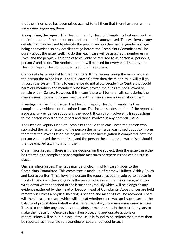that the minor issue has been raised against to tell them that there has been a minor issue raised regarding them.

**Anonymising the report.** The Head or Deputy Head of Complaints first ensures that the information of the person making the report is anonymised. This will involve any details that may be used to identify the person such as their name, gender and age being anonymised so any details that go before the Complaints Committee will be purely about the issue itself. To do this, each case will be assigned a number using Excel and the people within the case will only be referred to as person A, person B, person C and so on. The random number will be used for every email sent by the Head or Deputy Head of complaints during the process.

**Complaints by or against former members.** If the person raising the minor issue, or the person the minor issue is about, leaves Centre then the minor issue will still go through the system. This is to ensure we do not allow people into Centre that could harm our members and members who have broken the rules are not allowed to remain within Centre. However, this means there will be no emails sent during the minor issues process to former members if the minor issue is raised about them.

**Investigating the minor issue.** The Head or Deputy Head of Complaints then compiles any evidence on the minor issue. This includes a description of the reported issue and any evidence supporting the report. It can also involve emailing questions to the person who filed the report and those involved in any potential issue.

The Head or Deputy Head of Complaints should then email both the person who submitted the minor issue and the person the minor issue was raised about to inform them that the investigation has begun. Once the investigation is completed, both the person who raised the minor issue and the person the minor issue was raised should then be emailed again to inform them.

**Clear minor issues.** If there is a clear decision on the subject, then the issue can either be referred as a complaint or appropriate measures or repercussions can be put in place.

**Unclear minor issues.** The issue may be unclear in which case it goes to the Complaints Committee. This committee is made up of Mathew Hulbert, Ashley Routh and Louise Jenifer. This allows the person the report has been made by to appear in front of the committee along with the person who raised the minor issue, who can write down what happened or the issue anonymously which will be alongside any evidence gathered by the Head or Deputy Head of Complaints. Appearances are held remotely is unless a physical meeting is needed and meetings will be recorded. There will then be a secret vote which will look at whether there was an issue based on the balance of probabilities (whether it is more than likely the minor issue raised is true). They also consider any previous complaints or minor issues in the past four years to make their decision. Once this has taken place, any appropriate actions or repercussions will be put in place. If the issue is found to be serious then it may then be reported as a possible safeguarding or code of conduct breach.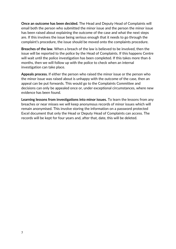**Once an outcome has been decided.** The Head and Deputy Head of Complaints will email both the person who submitted the minor issue and the person the minor issue has been raised about explaining the outcome of the case and what the next steps are. If this involves the issue being serious enough that it needs to go through the complaint's procedure, the issue should be moved onto the complaints procedure.

**Breaches of the law.** When a breach of the law is believed to be involved, then the issue will be reported to the police by the Head of Complaints. If this happens Centre will wait until the police investigation has been completed. If this takes more than 6 months, then we will follow up with the police to check when an internal investigation can take place.

**Appeals process.** If either the person who raised the minor issue or the person who the minor issue was raised about is unhappy with the outcome of the case, then an appeal can be put forwards. This would go to the Complaints Committee and decisions can only be appealed once or, under exceptional circumstances, where new evidence has been found.

**Learning lessons from investigations into minor issues.** To learn the lessons from any breaches or near misses we will keep anonymous records of minor issues which will remain anonymised. This involve storing the information on a password protected Excel document that only the Head or Deputy Head of Complaints can access. The records will be kept for four years and, after that, date, this will be deleted.